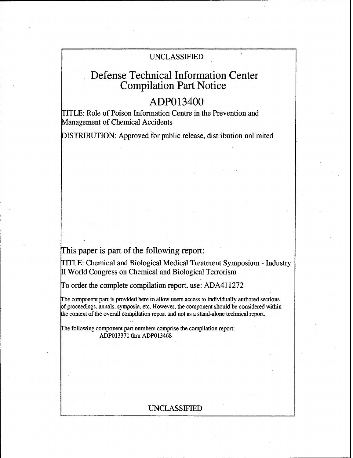## UNCLASSIFIED

# Defense Technical Information Center Compilation Part Notice

## ADPO13400

ITLE: Role of Poison Information Centre in the Prevention and Management of Chemical Accidents

DISTRIBUTION: Approved for public release, distribution unlimited

This paper is part of the following report:

TITLE: Chemical and Biological Medical Treatment Symposium - Industry World Congress on Chemical and Biological Terrorism

To order the complete compilation report, use: ADA41 1272

The component part is provided here to allow users access to individually authored sections of proceedings, annals, symposia, etc. However. the component should be considered within the context of the overall compilation report and not as a stand-alone technical report.

The following component part numbers comprise the compilation report: ADP013371 thru ADP013468

## UNCLASSIFIED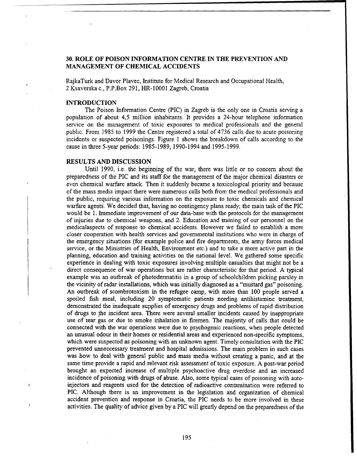### **30.** ROLE OF **POISON** INFORMATION **CENTRE IN** THE **PREVENTION AND MANAGEMENT** OF CHEMICAL **ACCIDENTS**

RajkaTurk and Davor Plavec, Institute for Medical Research and Occupational Health, 2 Ksaverska c., P.P.Box 291, HR-10001 Zagreb, Croatia

#### INTRODUCTION

The Poison Information Centre (PIC) in Zagreb is the only one in Croatia serving a population of about 4,5 million inhabitants. It provides a 24-hour telephone information service on the management of toxic exposures to medical professionals and the general public. From 1985 to 1999 the Centre registered a total of 4736 calls due to acute poisoning incidents or suspected poisonings. Figure 1 shows the breakdown of calls according to the cause in three 5-year periods: 1985-1989, 1990-1994 and 1995-1999.

#### **RESULTS AND DISCUSSION**

Until 1990, i.e. the beginning of the war, there was little or no concern about the preparedness of the PIC and its staff for the management of the major chemical disasters or even chemical warfare attack. Then it suddenly became a toxicological priority and because of the mass media impact there were numerous calls both from the medical professionals and the public, requiring various information on the exposure to toxic chemicals and chemical warfare agents. We decided that, having no contingency plans ready; the main task of the **PIC** would be 1. Immediate improvement of our data-base with the protocols for the management .of injuries due to chemical weapons, and 2. Education and training of our personnel on the medicalaspects of response to chemical accidents. However we failed to establish a more closer cooperation with health services and governmental institutions who were in charge of the emergency situations (for example police and fire departments, the army forces medical service, or the Ministries of Health, Environment etc.) and to take a more active part in the planning, education and training activities on the national level. We gathered some specific experience in dealing with toxic exposures involving multiple casualties that might not be a direct consequence of war operations but are rather characteristic for that period. A typical example was an outbreak of photodermatitis in a group of schoolchildren picking parsley in the vicinity of radar installations, which was initially diagnosed as a "mustard gas" poisoning. An outbreak of scombrotoxism in the refugee camp, with more than 100 people served a spoiled fish meal, including 20 symptomatic patients needing antihistamine treatment, demonstrated the inadequate supplies of emergency drugs and problems of rapid distribution of drugs, to the incident area. There were several smaller incidents caused by inappropriate use of tear gas or due to smoke inhalation in firemen. The majority of calls that could be connected with the war operations were due to psychogenic reactions, when people detected an unusual odour in their homes or residential areas and experienced non-specific symptoms, which were suspected as poisoning with an unknown agent. Timely consultation with the PIC prevented unneccessary treatment and hospital admissions. The main problem in such cases was how to deal with general public and mass media without creating a panic, and at the same time provide a rapid and relevant risk assessment of toxic exposure. A post-war period brought an expected increase of multiple psychoactive drug overdose and an increased incidence of poisoning with drugs of abuse. Also, some typical cases of poisoning with autoinjectors and reagents used for the detection of radioactive contamination were referred to **PIC.** Although there is. an improvement in the legislation and organization of chemical accident prevention and response in Croatia, the PIC needs to be more involved in these activities. The quality of advice given by a PIC will greatly depend on the preparedness of the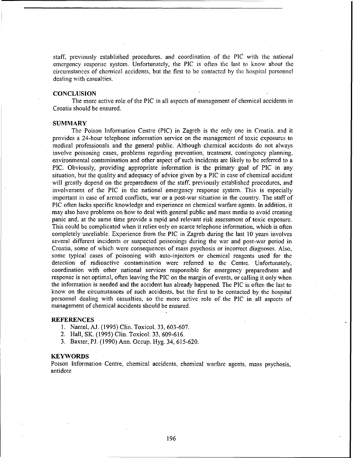staff, previously established procedures, and coordination of the  $\overrightarrow{PIC}$  with the national emergency response system. Unfortunately, the **PIC** is often the last to know about the circumstances of chemical accidents, but the first to **be** contacted by the hospital personnel dealing with casualties.

#### **CONCLUSION**

The more active role of the **PIC** in all aspects of management of chemical accidents in Croatia should be ensured.

#### SUMMARY

The Poison Information Centre (PIC) in Zagreb is the only one in Croatia. and it provides a 24-hour telephone information service on the management of toxic exposures to medical professionals and the general public. Although chemical accidents do not always involve poisoning cases, problems regarding prevention, treatment, contingency planning, environmental contamination and other aspect of such incidents are likely to be referred to a **PIC.** Obviously, providing appropriate information is the primary goal of **PIC** in any situation, but the quality and adequacy of advice given by a **PIC** in case of chemical accident will greatly depend on the preparedness of the staff, previously established procedures, and involvement of the **PIC** in the national emergency response system. This is especially important in case of armed conflicts, war or a post-war situation in the country. The staff of **PIC** often lacks specific knowledge and experience on chemical warfare agents. In addition, it may also have problems on how to deal with general puiblic and mass media to avoid creating panic and, at the same time provide a rapid and relevant risk assessment of toxic exposure. This could be complicated when it relies only on scarce telephone information, which is often completely unreliable. Experience from the **PIC** in Zagreb during the last 10 years involves several different incidents or suspected poisonings during the war and post-war period in Croatia, some of which were consequences of mass psychosis or incorrect diagnoses. Also, some typical cases of poisoning with auto-injectors or chemical reagents used for the detection of radioactive contamination were referred to the Centre. Unfortunately, coordination with other national services responsible for emergency preparedness and response is not optimal, often leaving the **PIC** on the margin of events, or calling it only when the information is needed and the accident has already happened. The **PIC** is often the last to know on the circumstances of such accidents, but the first to be contacted by the hospital personnel dealing with casualties, so the more active role of the **PIC** in all aspects of management of chemical accidents should be ensured.

#### **REFERENCES**

- 1. Nantel, AJ. (1995) Clin. Toxicol. 33, 603-607.
- 2. Hall, SK. (1995) Clin. Toxicol. 33,609-616.
- 3. Baxter, PJ. (1990) Ann. Occup. Hyg. 34, 615-620.

#### **KEYWORDS**

Poison Information Centre, chemical accidents, chemical warfare agents, mass psychosis, antidote